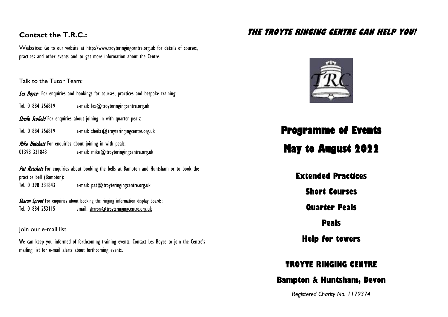#### **Contact the T.R.C.:**

Website: Go to our website at http://www.troyteringingcentre.org.uk for details of courses, practices and other events and to get more information about the Centre.

Talk to the Tutor Team:

Les Boyce- For enquiries and bookings for courses, practices and bespoke training:

Tel. 01884 256819 e-mail: les @ troyteringingcentre.org.uk

**Sheila Scofield** For enquiries about joining in with quarter peals:

Tel. 01884 256819 e-mail: [sheila@troyteringingcentre.org.uk](mailto:sheila@troyteringingcentre.org.uk)

**Mike Hatchett** For enquiries about joining in with peals: 01398 331843 e-mail: [mike@troyteringingcentre.org.uk](mailto:mike@troyteringingcentre.org.uk)

Pat Hatchett For enquiries about booking the bells at Bampton and Huntsham or to book the practice bell (Bampton): Tel. 01398 331843 e-mail: pat @troyteringingcentre.org.uk

Sharon Sproat For enquiries about booking the ringing information display boards: Tel. 01884 253115 email: s[haron@troyteringing](mailto:sharon.sproat@gmail.com)centre.org.uk

Join our e-mail list

We can keep you informed of forthcoming training events. Contact Les Boyce to join the Centre's mailing list for e-mail alerts about forthcoming events.

#### **THE TROYTE RINGING CENTRE CAN HELP YOU!**



## **Programme of Events**

# **May to August 2022**

**Extended Practices**

**Short Courses**

**Quarter Peals**

**Peals**

**Help for towers**

## **TROYTE RINGING CENTRE**

#### **Bampton & Huntsham, Devon**

*Registered Charity No. 1179374*